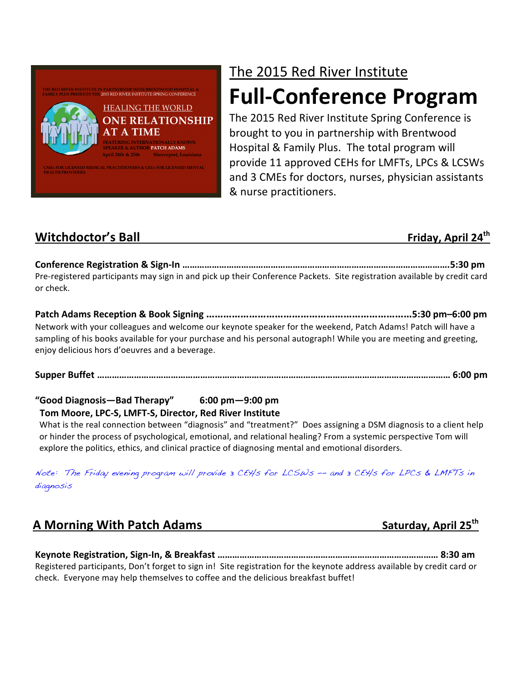

# The 2015 Red River Institute

# **Full-Conference Program**

The 2015 Red River Institute Spring Conference is brought to you in partnership with Brentwood Hospital & Family Plus. The total program will provide 11 approved CEHs for LMFTs, LPCs & LCSWs and 3 CMEs for doctors, nurses, physician assistants & nurse practitioners.

## **Witchdoctor's Ball Friday, April 24th**

**Conference Registration & Sign-In ……………………………………………………………………………………………….5:30 pm** Pre-registered participants may sign in and pick up their Conference Packets. Site registration available by credit card or check.

Patch Adams Reception & Book Signing ………………………………………………………………5:30 pm–6:00 pm Network with your colleagues and welcome our keynote speaker for the weekend, Patch Adams! Patch will have a sampling of his books available for your purchase and his personal autograph! While you are meeting and greeting, enjoy delicious hors d'oeuvres and a beverage.

**Supper Buffet ……………………………………………………………………………………………………………………………… 6:00 pm**

## "Good Diagnosis—Bad Therapy" 6:00 pm—9:00 pm

### Tom Moore, LPC-S, LMFT-S, Director, Red River Institute

What is the real connection between "diagnosis" and "treatment?" Does assigning a DSM diagnosis to a client help or hinder the process of psychological, emotional, and relational healing? From a systemic perspective Tom will explore the politics, ethics, and clinical practice of diagnosing mental and emotional disorders.

Note: The Friday evening program will provide 3 CEHs for LCSWs –- and 3 CEHs for LPCs & LMFTs in diagnosis

**A** Morning With Patch Adams *Nimersequarray* Saturday, April 25<sup>th</sup>

**Keynote Registration, Sign-In, & Breakfast ……………………………………………………………………………… 8:30 am** Registered participants, Don't forget to sign in! Site registration for the keynote address available by credit card or check. Everyone may help themselves to coffee and the delicious breakfast buffet!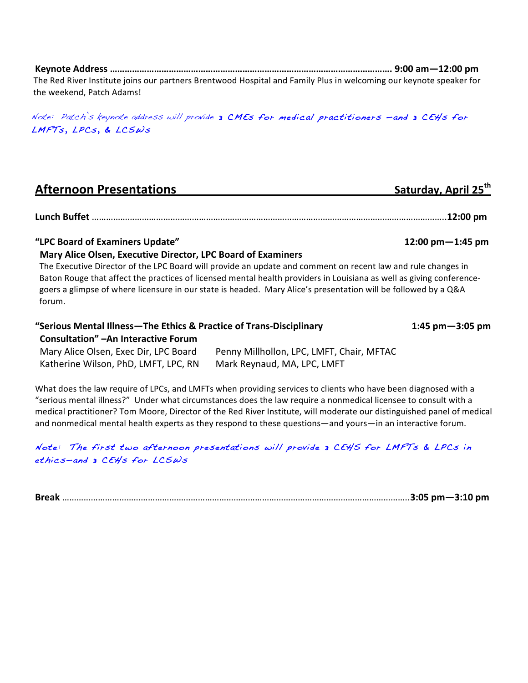**Keynote Address ……………………………………………………………………………………………………. 9:00 am—12:00 pm** The Red River Institute joins our partners Brentwood Hospital and Family Plus in welcoming our keynote speaker for the weekend. Patch Adams!

Note: Patch's keynote address will provide 3 CMEs for medical practitioners —and 3 CEHs for LMFTs, LPCs, & LCSWs

| <b>Afternoon Presentations</b> | Saturday, April 25th |
|--------------------------------|----------------------|
|                                |                      |

**Lunch Buffet** …………………………………………………………………………………………………………………………………..**12:00 pm**

#### "LPC Board of Examiners Update" **And Computers** (12:00 pm—1:45 pm

#### **Mary Alice Olsen, Executive Director, LPC Board of Examiners**

The Executive Director of the LPC Board will provide an update and comment on recent law and rule changes in Baton Rouge that affect the practices of licensed mental health providers in Louisiana as well as giving conferencegoers a glimpse of where licensure in our state is headed. Mary Alice's presentation will be followed by a Q&A forum.

#### **"Serious Mental Illness—The Ethics & Practice of Trans-Disciplinary 1:45 pm—3:05 pm Consultation"** - An Interactive Forum Mary Alice Olsen, Exec Dir, LPC Board Penny Millhollon, LPC, LMFT, Chair, MFTAC

Katherine Wilson, PhD, LMFT, LPC, RN Mark Reynaud, MA, LPC, LMFT

What does the law require of LPCs, and LMFTs when providing services to clients who have been diagnosed with a "serious mental illness?" Under what circumstances does the law require a nonmedical licensee to consult with a medical practitioner? Tom Moore, Director of the Red River Institute, will moderate our distinguished panel of medical and nonmedical mental health experts as they respond to these questions—and yours—in an interactive forum.

#### Note: The first two afternoon presentations will provide 3 CEHS for LMFTs & LPCs in ethics—and 3 CEHs for LCSWs

**Break** ………………………………………………………………………………………………………………………………..**3:05 pm—3:10 pm**